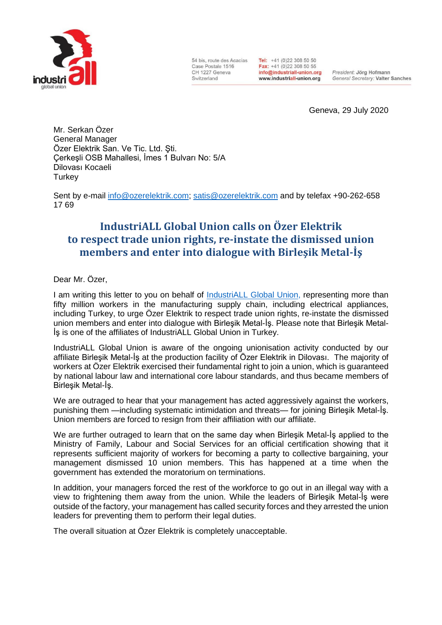

54 bis, route des Acacias Case Postale 1516 CH 1227 Geneva Switzerland

Tel: +41 (0)22 308 50 50 Fax: +41 (0)22 308 50 55 info@industriall-union.org www.industriall-union.org

President: Jörg Hofmann General Secretary: Valter Sanches

Geneva, 29 July 2020

Mr. Serkan Özer General Manager Özer Elektrik San. Ve Tic. Ltd. Şti. Çerkeşli OSB Mahallesi, İmes 1 Bulvarı No: 5/A Dilovası Kocaeli **Turkey** 

Sent by e-mail [info@ozerelektrik.com;](mailto:info@ozerelektrik.com) [satis@ozerelektrik.com](mailto:satis@ozerelektrik.com) and by telefax +90-262-658 17 69

## **IndustriALL Global Union calls on Özer Elektrik to respect trade union rights, re-instate the dismissed union members and enter into dialogue with Birleşik Metal-İş**

Dear Mr. Özer,

I am writing this letter to you on behalf of [IndustriALL Global Union,](http://www.industriall-union.org/) representing more than fifty million workers in the manufacturing supply chain, including electrical appliances, including Turkey, to urge Özer Elektrik to respect trade union rights, re-instate the dismissed union members and enter into dialogue with Birleşik Metal-İş. Please note that Birleşik Metal-İş is one of the affiliates of IndustriALL Global Union in Turkey.

IndustriALL Global Union is aware of the ongoing unionisation activity conducted by our affiliate Birleşik Metal-İş at the production facility of Özer Elektrik in Dilovası. The majority of workers at Özer Elektrik exercised their fundamental right to join a union, which is guaranteed by national labour law and international core labour standards, and thus became members of Birleşik Metal-İş.

We are outraged to hear that your management has acted aggressively against the workers, punishing them —including systematic intimidation and threats— for joining Birleşik Metal-İş. Union members are forced to resign from their affiliation with our affiliate.

We are further outraged to learn that on the same day when Birlesik Metal-Is applied to the Ministry of Family, Labour and Social Services for an official certification showing that it represents sufficient majority of workers for becoming a party to collective bargaining, your management dismissed 10 union members. This has happened at a time when the government has extended the moratorium on terminations.

In addition, your managers forced the rest of the workforce to go out in an illegal way with a view to frightening them away from the union. While the leaders of Birleşik Metal-İş were outside of the factory, your management has called security forces and they arrested the union leaders for preventing them to perform their legal duties.

The overall situation at Özer Elektrik is completely unacceptable.